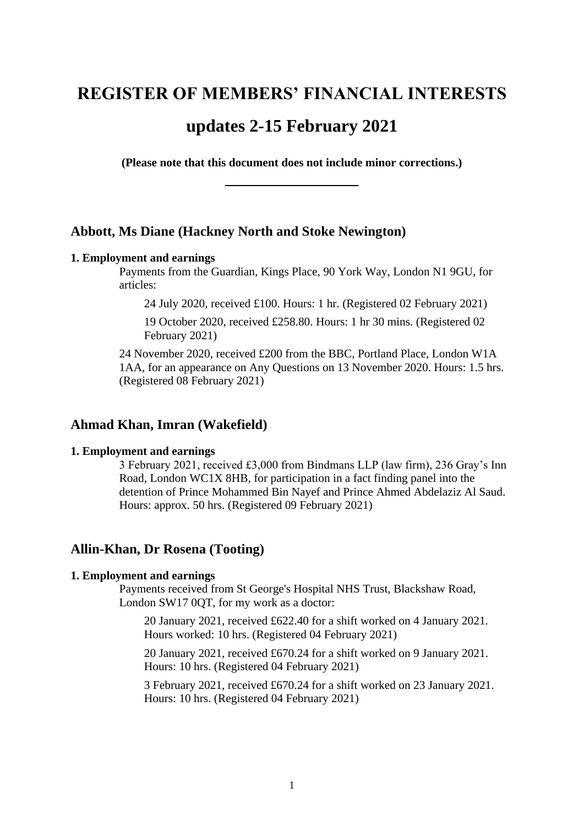# **REGISTER OF MEMBERS' FINANCIAL INTERESTS updates 2-15 February 2021**

**(Please note that this document does not include minor corrections.) \_\_\_\_\_\_\_\_\_\_\_\_\_\_\_\_\_**

# **Abbott, Ms Diane (Hackney North and Stoke Newington)**

## **1. Employment and earnings**

Payments from the Guardian, Kings Place, 90 York Way, London N1 9GU, for articles:

24 July 2020, received £100. Hours: 1 hr. (Registered 02 February 2021)

19 October 2020, received £258.80. Hours: 1 hr 30 mins. (Registered 02 February 2021)

24 November 2020, received £200 from the BBC, Portland Place, London W1A 1AA, for an appearance on Any Questions on 13 November 2020. Hours: 1.5 hrs. (Registered 08 February 2021)

# **Ahmad Khan, Imran (Wakefield)**

#### **1. Employment and earnings**

3 February 2021, received £3,000 from Bindmans LLP (law firm), 236 Gray's Inn Road, London WC1X 8HB, for participation in a fact finding panel into the detention of Prince Mohammed Bin Nayef and Prince Ahmed Abdelaziz Al Saud. Hours: approx. 50 hrs. (Registered 09 February 2021)

# **Allin-Khan, Dr Rosena (Tooting)**

## **1. Employment and earnings**

Payments received from St George's Hospital NHS Trust, Blackshaw Road, London SW17 0QT, for my work as a doctor:

20 January 2021, received £622.40 for a shift worked on 4 January 2021. Hours worked: 10 hrs. (Registered 04 February 2021)

20 January 2021, received £670.24 for a shift worked on 9 January 2021. Hours: 10 hrs. (Registered 04 February 2021)

3 February 2021, received £670.24 for a shift worked on 23 January 2021. Hours: 10 hrs. (Registered 04 February 2021)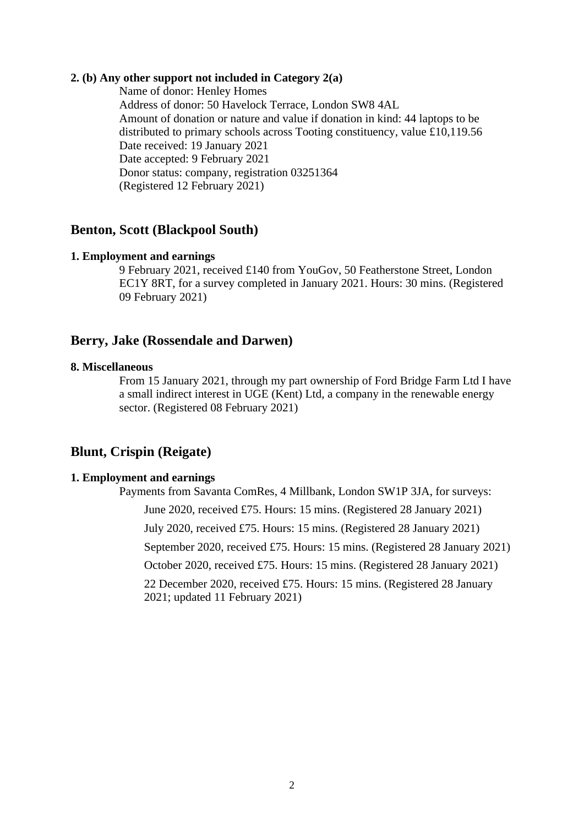## **2. (b) Any other support not included in Category 2(a)**

Name of donor: Henley Homes Address of donor: 50 Havelock Terrace, London SW8 4AL Amount of donation or nature and value if donation in kind: 44 laptops to be distributed to primary schools across Tooting constituency, value £10,119.56 Date received: 19 January 2021 Date accepted: 9 February 2021 Donor status: company, registration 03251364 (Registered 12 February 2021)

## **Benton, Scott (Blackpool South)**

#### **1. Employment and earnings**

9 February 2021, received £140 from YouGov, 50 Featherstone Street, London EC1Y 8RT, for a survey completed in January 2021. Hours: 30 mins. (Registered 09 February 2021)

# **Berry, Jake (Rossendale and Darwen)**

## **8. Miscellaneous**

From 15 January 2021, through my part ownership of Ford Bridge Farm Ltd I have a small indirect interest in UGE (Kent) Ltd, a company in the renewable energy sector. (Registered 08 February 2021)

## **Blunt, Crispin (Reigate)**

#### **1. Employment and earnings**

Payments from Savanta ComRes, 4 Millbank, London SW1P 3JA, for surveys: June 2020, received £75. Hours: 15 mins. (Registered 28 January 2021) July 2020, received £75. Hours: 15 mins. (Registered 28 January 2021) September 2020, received £75. Hours: 15 mins. (Registered 28 January 2021) October 2020, received £75. Hours: 15 mins. (Registered 28 January 2021) 22 December 2020, received £75. Hours: 15 mins. (Registered 28 January 2021; updated 11 February 2021)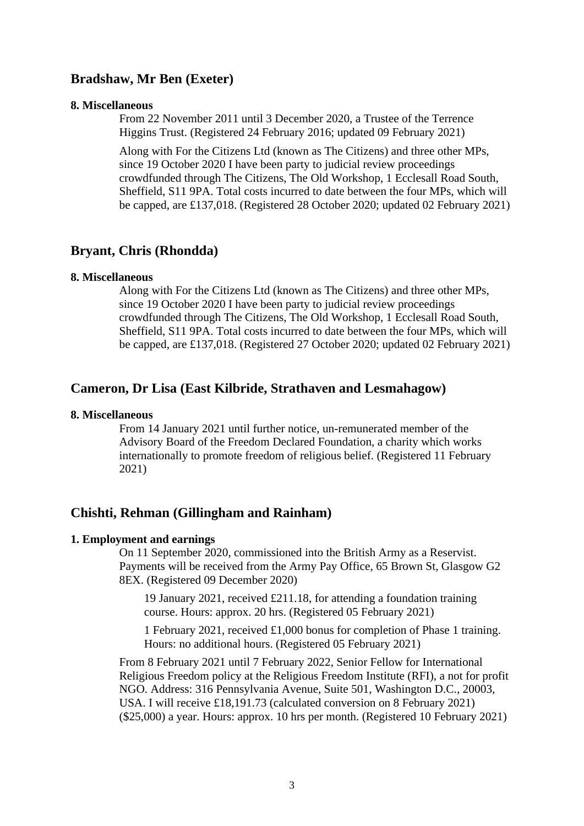## **Bradshaw, Mr Ben (Exeter)**

#### **8. Miscellaneous**

From 22 November 2011 until 3 December 2020, a Trustee of the Terrence Higgins Trust. (Registered 24 February 2016; updated 09 February 2021)

Along with For the Citizens Ltd (known as The Citizens) and three other MPs, since 19 October 2020 I have been party to judicial review proceedings crowdfunded through The Citizens, The Old Workshop, 1 Ecclesall Road South, Sheffield, S11 9PA. Total costs incurred to date between the four MPs, which will be capped, are £137,018. (Registered 28 October 2020; updated 02 February 2021)

## **Bryant, Chris (Rhondda)**

## **8. Miscellaneous**

Along with For the Citizens Ltd (known as The Citizens) and three other MPs, since 19 October 2020 I have been party to judicial review proceedings crowdfunded through The Citizens, The Old Workshop, 1 Ecclesall Road South, Sheffield, S11 9PA. Total costs incurred to date between the four MPs, which will be capped, are £137,018. (Registered 27 October 2020; updated 02 February 2021)

## **Cameron, Dr Lisa (East Kilbride, Strathaven and Lesmahagow)**

#### **8. Miscellaneous**

From 14 January 2021 until further notice, un-remunerated member of the Advisory Board of the Freedom Declared Foundation, a charity which works internationally to promote freedom of religious belief. (Registered 11 February 2021)

# **Chishti, Rehman (Gillingham and Rainham)**

#### **1. Employment and earnings**

On 11 September 2020, commissioned into the British Army as a Reservist. Payments will be received from the Army Pay Office, 65 Brown St, Glasgow G2 8EX. (Registered 09 December 2020)

19 January 2021, received £211.18, for attending a foundation training course. Hours: approx. 20 hrs. (Registered 05 February 2021)

1 February 2021, received £1,000 bonus for completion of Phase 1 training. Hours: no additional hours. (Registered 05 February 2021)

From 8 February 2021 until 7 February 2022, Senior Fellow for International Religious Freedom policy at the Religious Freedom Institute (RFI), a not for profit NGO. Address: 316 Pennsylvania Avenue, Suite 501, Washington D.C., 20003, USA. I will receive £18,191.73 (calculated conversion on 8 February 2021) (\$25,000) a year. Hours: approx. 10 hrs per month. (Registered 10 February 2021)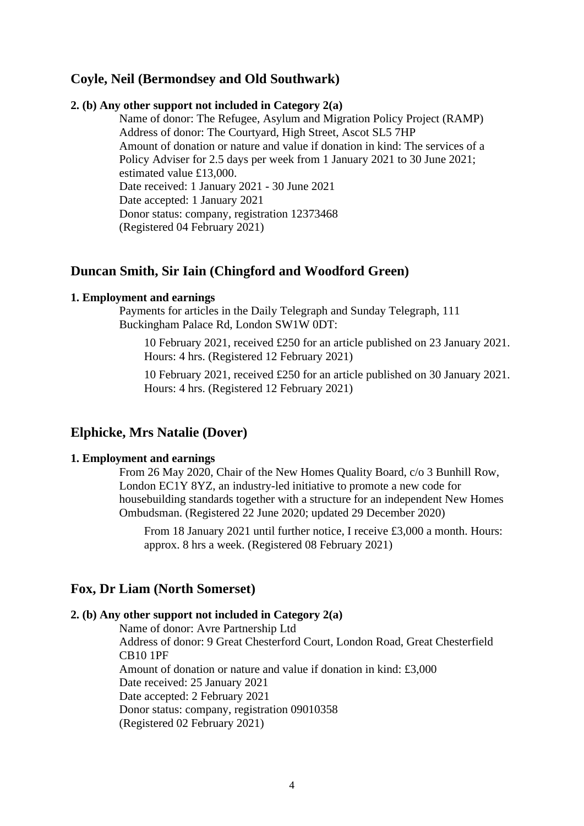# **Coyle, Neil (Bermondsey and Old Southwark)**

## **2. (b) Any other support not included in Category 2(a)**

Name of donor: The Refugee, Asylum and Migration Policy Project (RAMP) Address of donor: The Courtyard, High Street, Ascot SL5 7HP Amount of donation or nature and value if donation in kind: The services of a Policy Adviser for 2.5 days per week from 1 January 2021 to 30 June 2021; estimated value £13,000. Date received: 1 January 2021 - 30 June 2021 Date accepted: 1 January 2021 Donor status: company, registration 12373468 (Registered 04 February 2021)

## **Duncan Smith, Sir Iain (Chingford and Woodford Green)**

#### **1. Employment and earnings**

Payments for articles in the Daily Telegraph and Sunday Telegraph, 111 Buckingham Palace Rd, London SW1W 0DT:

10 February 2021, received £250 for an article published on 23 January 2021. Hours: 4 hrs. (Registered 12 February 2021)

10 February 2021, received £250 for an article published on 30 January 2021. Hours: 4 hrs. (Registered 12 February 2021)

## **Elphicke, Mrs Natalie (Dover)**

#### **1. Employment and earnings**

From 26 May 2020, Chair of the New Homes Quality Board, c/o 3 Bunhill Row, London EC1Y 8YZ, an industry-led initiative to promote a new code for housebuilding standards together with a structure for an independent New Homes Ombudsman. (Registered 22 June 2020; updated 29 December 2020)

From 18 January 2021 until further notice, I receive £3,000 a month. Hours: approx. 8 hrs a week. (Registered 08 February 2021)

## **Fox, Dr Liam (North Somerset)**

## **2. (b) Any other support not included in Category 2(a)**

Name of donor: Avre Partnership Ltd Address of donor: 9 Great Chesterford Court, London Road, Great Chesterfield CB10 1PF Amount of donation or nature and value if donation in kind: £3,000 Date received: 25 January 2021 Date accepted: 2 February 2021 Donor status: company, registration 09010358 (Registered 02 February 2021)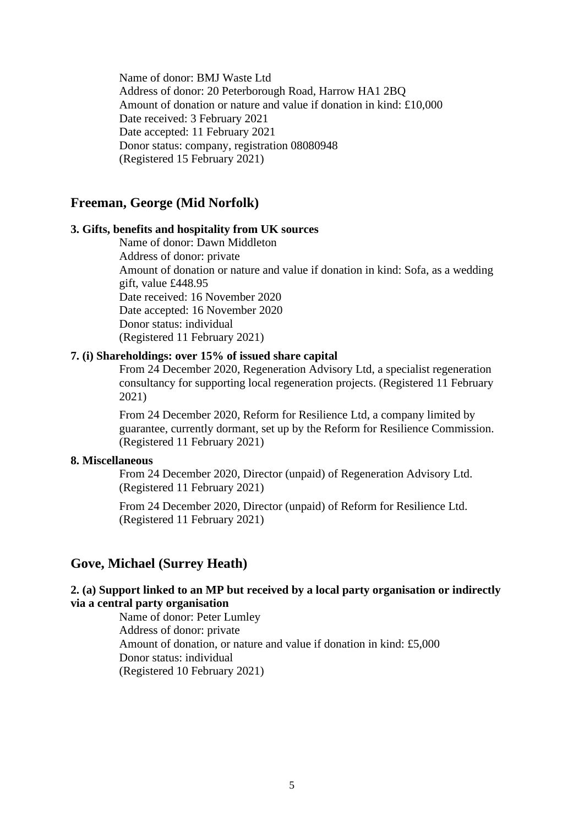Name of donor: BMJ Waste Ltd Address of donor: 20 Peterborough Road, Harrow HA1 2BQ Amount of donation or nature and value if donation in kind: £10,000 Date received: 3 February 2021 Date accepted: 11 February 2021 Donor status: company, registration 08080948 (Registered 15 February 2021)

## **Freeman, George (Mid Norfolk)**

## **3. Gifts, benefits and hospitality from UK sources**

Name of donor: Dawn Middleton Address of donor: private Amount of donation or nature and value if donation in kind: Sofa, as a wedding gift, value £448.95 Date received: 16 November 2020 Date accepted: 16 November 2020 Donor status: individual (Registered 11 February 2021)

#### **7. (i) Shareholdings: over 15% of issued share capital**

From 24 December 2020, Regeneration Advisory Ltd, a specialist regeneration consultancy for supporting local regeneration projects. (Registered 11 February 2021)

From 24 December 2020, Reform for Resilience Ltd, a company limited by guarantee, currently dormant, set up by the Reform for Resilience Commission. (Registered 11 February 2021)

#### **8. Miscellaneous**

From 24 December 2020, Director (unpaid) of Regeneration Advisory Ltd. (Registered 11 February 2021)

From 24 December 2020, Director (unpaid) of Reform for Resilience Ltd. (Registered 11 February 2021)

# **Gove, Michael (Surrey Heath)**

## **2. (a) Support linked to an MP but received by a local party organisation or indirectly via a central party organisation**

Name of donor: Peter Lumley Address of donor: private Amount of donation, or nature and value if donation in kind: £5,000 Donor status: individual (Registered 10 February 2021)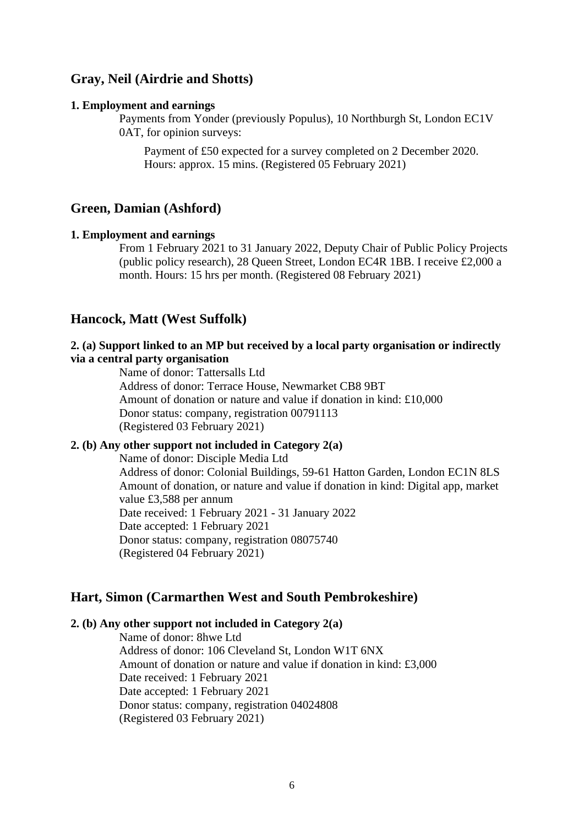## **Gray, Neil (Airdrie and Shotts)**

#### **1. Employment and earnings**

Payments from Yonder (previously Populus), 10 Northburgh St, London EC1V 0AT, for opinion surveys:

Payment of £50 expected for a survey completed on 2 December 2020. Hours: approx. 15 mins. (Registered 05 February 2021)

# **Green, Damian (Ashford)**

#### **1. Employment and earnings**

From 1 February 2021 to 31 January 2022, Deputy Chair of Public Policy Projects (public policy research), 28 Queen Street, London EC4R 1BB. I receive £2,000 a month. Hours: 15 hrs per month. (Registered 08 February 2021)

## **Hancock, Matt (West Suffolk)**

## **2. (a) Support linked to an MP but received by a local party organisation or indirectly via a central party organisation**

Name of donor: Tattersalls Ltd Address of donor: Terrace House, Newmarket CB8 9BT Amount of donation or nature and value if donation in kind: £10,000 Donor status: company, registration 00791113 (Registered 03 February 2021)

## **2. (b) Any other support not included in Category 2(a)**

Name of donor: Disciple Media Ltd Address of donor: Colonial Buildings, 59-61 Hatton Garden, London EC1N 8LS Amount of donation, or nature and value if donation in kind: Digital app, market value £3,588 per annum Date received: 1 February 2021 - 31 January 2022 Date accepted: 1 February 2021 Donor status: company, registration 08075740 (Registered 04 February 2021)

## **Hart, Simon (Carmarthen West and South Pembrokeshire)**

#### **2. (b) Any other support not included in Category 2(a)**

Name of donor: 8hwe Ltd Address of donor: 106 Cleveland St, London W1T 6NX Amount of donation or nature and value if donation in kind: £3,000 Date received: 1 February 2021 Date accepted: 1 February 2021 Donor status: company, registration 04024808 (Registered 03 February 2021)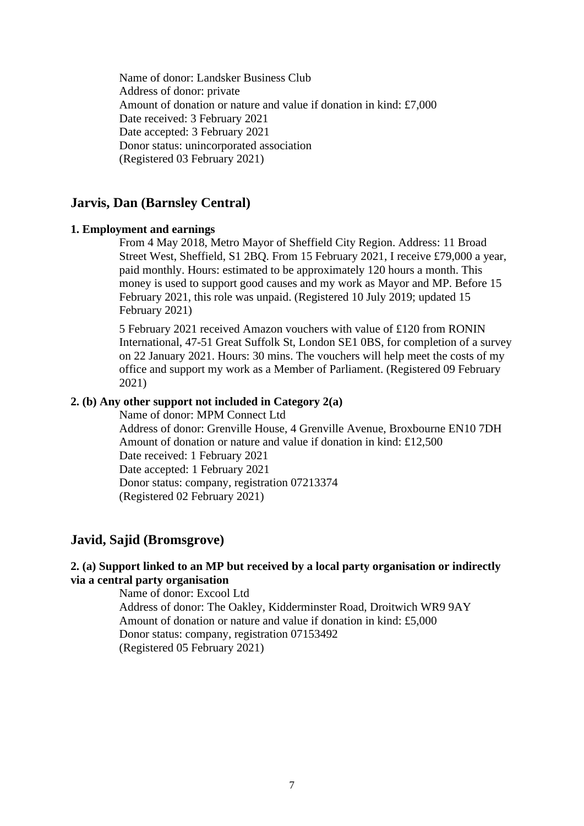Name of donor: Landsker Business Club Address of donor: private Amount of donation or nature and value if donation in kind: £7,000 Date received: 3 February 2021 Date accepted: 3 February 2021 Donor status: unincorporated association (Registered 03 February 2021)

## **Jarvis, Dan (Barnsley Central)**

#### **1. Employment and earnings**

From 4 May 2018, Metro Mayor of Sheffield City Region. Address: 11 Broad Street West, Sheffield, S1 2BQ. From 15 February 2021, I receive £79,000 a year, paid monthly. Hours: estimated to be approximately 120 hours a month. This money is used to support good causes and my work as Mayor and MP. Before 15 February 2021, this role was unpaid. (Registered 10 July 2019; updated 15 February 2021)

5 February 2021 received Amazon vouchers with value of £120 from RONIN International, 47-51 Great Suffolk St, London SE1 0BS, for completion of a survey on 22 January 2021. Hours: 30 mins. The vouchers will help meet the costs of my office and support my work as a Member of Parliament. (Registered 09 February 2021)

## **2. (b) Any other support not included in Category 2(a)**

Name of donor: MPM Connect Ltd Address of donor: Grenville House, 4 Grenville Avenue, Broxbourne EN10 7DH Amount of donation or nature and value if donation in kind: £12,500 Date received: 1 February 2021 Date accepted: 1 February 2021 Donor status: company, registration 07213374 (Registered 02 February 2021)

## **Javid, Sajid (Bromsgrove)**

## **2. (a) Support linked to an MP but received by a local party organisation or indirectly via a central party organisation**

Name of donor: Excool Ltd Address of donor: The Oakley, Kidderminster Road, Droitwich WR9 9AY Amount of donation or nature and value if donation in kind: £5,000 Donor status: company, registration 07153492 (Registered 05 February 2021)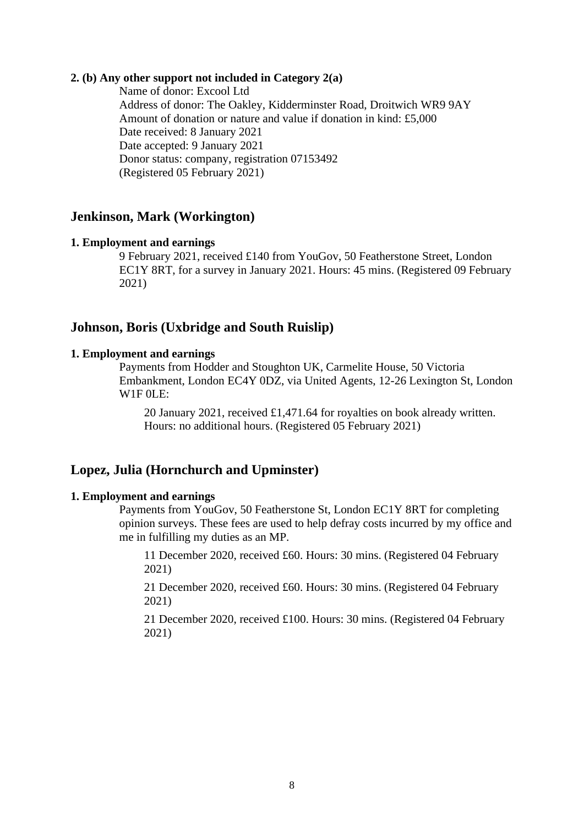## **2. (b) Any other support not included in Category 2(a)**

Name of donor: Excool Ltd Address of donor: The Oakley, Kidderminster Road, Droitwich WR9 9AY Amount of donation or nature and value if donation in kind: £5,000 Date received: 8 January 2021 Date accepted: 9 January 2021 Donor status: company, registration 07153492 (Registered 05 February 2021)

## **Jenkinson, Mark (Workington)**

#### **1. Employment and earnings**

9 February 2021, received £140 from YouGov, 50 Featherstone Street, London EC1Y 8RT, for a survey in January 2021. Hours: 45 mins. (Registered 09 February 2021)

## **Johnson, Boris (Uxbridge and South Ruislip)**

#### **1. Employment and earnings**

Payments from Hodder and Stoughton UK, Carmelite House, 50 Victoria Embankment, London EC4Y 0DZ, via United Agents, 12-26 Lexington St, London  $W1F0LE:$ 

20 January 2021, received £1,471.64 for royalties on book already written. Hours: no additional hours. (Registered 05 February 2021)

# **Lopez, Julia (Hornchurch and Upminster)**

#### **1. Employment and earnings**

Payments from YouGov, 50 Featherstone St, London EC1Y 8RT for completing opinion surveys. These fees are used to help defray costs incurred by my office and me in fulfilling my duties as an MP.

11 December 2020, received £60. Hours: 30 mins. (Registered 04 February 2021)

21 December 2020, received £60. Hours: 30 mins. (Registered 04 February 2021)

21 December 2020, received £100. Hours: 30 mins. (Registered 04 February 2021)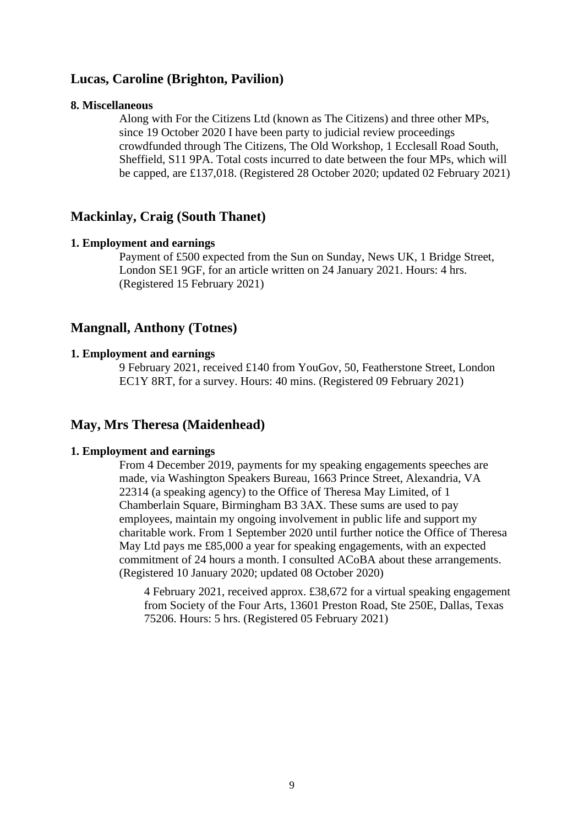## **Lucas, Caroline (Brighton, Pavilion)**

#### **8. Miscellaneous**

Along with For the Citizens Ltd (known as The Citizens) and three other MPs, since 19 October 2020 I have been party to judicial review proceedings crowdfunded through The Citizens, The Old Workshop, 1 Ecclesall Road South, Sheffield, S11 9PA. Total costs incurred to date between the four MPs, which will be capped, are £137,018. (Registered 28 October 2020; updated 02 February 2021)

## **Mackinlay, Craig (South Thanet)**

#### **1. Employment and earnings**

Payment of £500 expected from the Sun on Sunday, News UK, 1 Bridge Street, London SE1 9GF, for an article written on 24 January 2021. Hours: 4 hrs. (Registered 15 February 2021)

## **Mangnall, Anthony (Totnes)**

#### **1. Employment and earnings**

9 February 2021, received £140 from YouGov, 50, Featherstone Street, London EC1Y 8RT, for a survey. Hours: 40 mins. (Registered 09 February 2021)

# **May, Mrs Theresa (Maidenhead)**

## **1. Employment and earnings**

From 4 December 2019, payments for my speaking engagements speeches are made, via Washington Speakers Bureau, 1663 Prince Street, Alexandria, VA 22314 (a speaking agency) to the Office of Theresa May Limited, of 1 Chamberlain Square, Birmingham B3 3AX. These sums are used to pay employees, maintain my ongoing involvement in public life and support my charitable work. From 1 September 2020 until further notice the Office of Theresa May Ltd pays me £85,000 a year for speaking engagements, with an expected commitment of 24 hours a month. I consulted ACoBA about these arrangements. (Registered 10 January 2020; updated 08 October 2020)

4 February 2021, received approx. £38,672 for a virtual speaking engagement from Society of the Four Arts, 13601 Preston Road, Ste 250E, Dallas, Texas 75206. Hours: 5 hrs. (Registered 05 February 2021)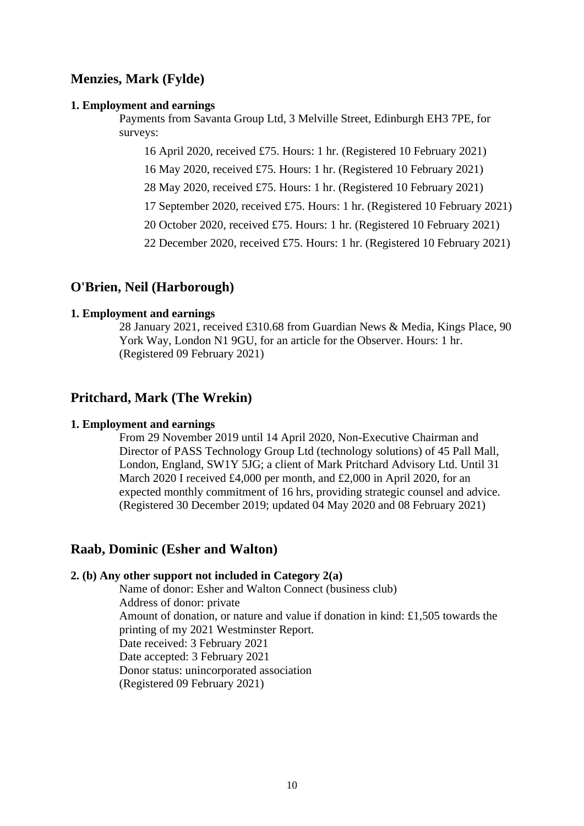# **Menzies, Mark (Fylde)**

#### **1. Employment and earnings**

Payments from Savanta Group Ltd, 3 Melville Street, Edinburgh EH3 7PE, for surveys:

16 April 2020, received £75. Hours: 1 hr. (Registered 10 February 2021)

16 May 2020, received £75. Hours: 1 hr. (Registered 10 February 2021)

28 May 2020, received £75. Hours: 1 hr. (Registered 10 February 2021)

17 September 2020, received £75. Hours: 1 hr. (Registered 10 February 2021)

20 October 2020, received £75. Hours: 1 hr. (Registered 10 February 2021)

22 December 2020, received £75. Hours: 1 hr. (Registered 10 February 2021)

# **O'Brien, Neil (Harborough)**

## **1. Employment and earnings**

28 January 2021, received £310.68 from Guardian News & Media, Kings Place, 90 York Way, London N1 9GU, for an article for the Observer. Hours: 1 hr. (Registered 09 February 2021)

# **Pritchard, Mark (The Wrekin)**

## **1. Employment and earnings**

From 29 November 2019 until 14 April 2020, Non-Executive Chairman and Director of PASS Technology Group Ltd (technology solutions) of 45 Pall Mall, London, England, SW1Y 5JG; a client of Mark Pritchard Advisory Ltd. Until 31 March 2020 I received £4,000 per month, and £2,000 in April 2020, for an expected monthly commitment of 16 hrs, providing strategic counsel and advice. (Registered 30 December 2019; updated 04 May 2020 and 08 February 2021)

# **Raab, Dominic (Esher and Walton)**

#### **2. (b) Any other support not included in Category 2(a)**

Name of donor: Esher and Walton Connect (business club) Address of donor: private Amount of donation, or nature and value if donation in kind: £1,505 towards the printing of my 2021 Westminster Report. Date received: 3 February 2021 Date accepted: 3 February 2021 Donor status: unincorporated association (Registered 09 February 2021)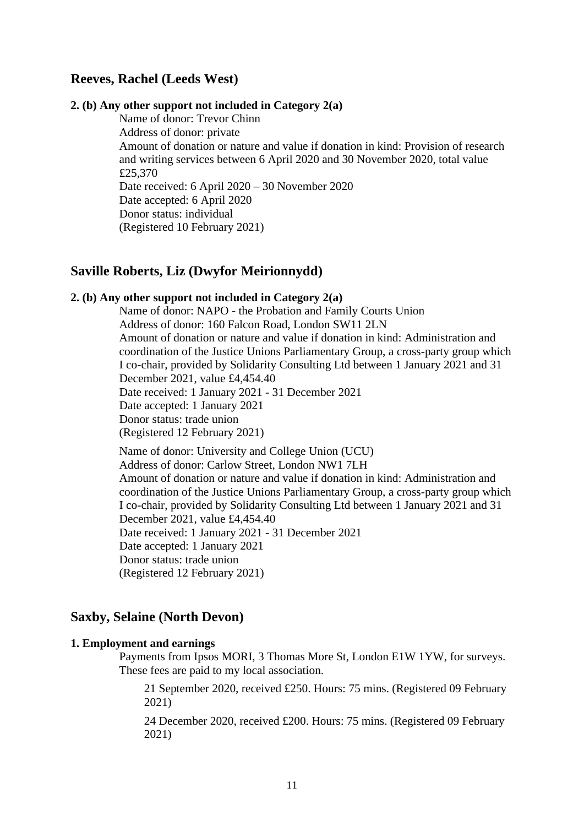## **Reeves, Rachel (Leeds West)**

## **2. (b) Any other support not included in Category 2(a)**

Name of donor: Trevor Chinn Address of donor: private Amount of donation or nature and value if donation in kind: Provision of research and writing services between 6 April 2020 and 30 November 2020, total value £25,370 Date received: 6 April 2020 – 30 November 2020 Date accepted: 6 April 2020 Donor status: individual (Registered 10 February 2021)

## **Saville Roberts, Liz (Dwyfor Meirionnydd)**

#### **2. (b) Any other support not included in Category 2(a)**

Name of donor: NAPO - the Probation and Family Courts Union Address of donor: 160 Falcon Road, London SW11 2LN Amount of donation or nature and value if donation in kind: Administration and coordination of the Justice Unions Parliamentary Group, a cross-party group which I co-chair, provided by Solidarity Consulting Ltd between 1 January 2021 and 31 December 2021, value £4,454.40 Date received: 1 January 2021 - 31 December 2021 Date accepted: 1 January 2021 Donor status: trade union (Registered 12 February 2021)

Name of donor: University and College Union (UCU) Address of donor: Carlow Street, London NW1 7LH Amount of donation or nature and value if donation in kind: Administration and coordination of the Justice Unions Parliamentary Group, a cross-party group which I co-chair, provided by Solidarity Consulting Ltd between 1 January 2021 and 31 December 2021, value £4,454.40 Date received: 1 January 2021 - 31 December 2021 Date accepted: 1 January 2021 Donor status: trade union (Registered 12 February 2021)

## **Saxby, Selaine (North Devon)**

#### **1. Employment and earnings**

Payments from Ipsos MORI, 3 Thomas More St, London E1W 1YW, for surveys. These fees are paid to my local association.

21 September 2020, received £250. Hours: 75 mins. (Registered 09 February 2021)

24 December 2020, received £200. Hours: 75 mins. (Registered 09 February 2021)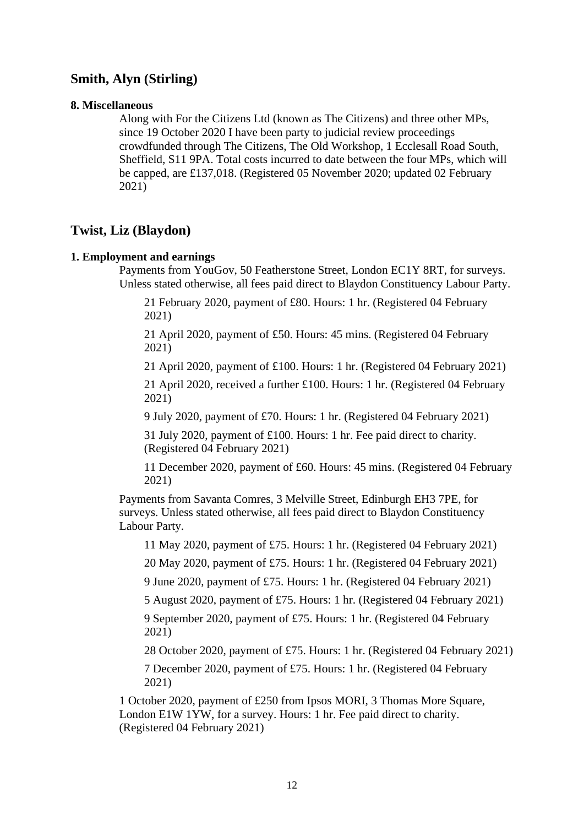# **Smith, Alyn (Stirling)**

#### **8. Miscellaneous**

Along with For the Citizens Ltd (known as The Citizens) and three other MPs, since 19 October 2020 I have been party to judicial review proceedings crowdfunded through The Citizens, The Old Workshop, 1 Ecclesall Road South, Sheffield, S11 9PA. Total costs incurred to date between the four MPs, which will be capped, are £137,018. (Registered 05 November 2020; updated 02 February 2021)

# **Twist, Liz (Blaydon)**

## **1. Employment and earnings**

Payments from YouGov, 50 Featherstone Street, London EC1Y 8RT, for surveys. Unless stated otherwise, all fees paid direct to Blaydon Constituency Labour Party.

21 February 2020, payment of £80. Hours: 1 hr. (Registered 04 February 2021)

21 April 2020, payment of £50. Hours: 45 mins. (Registered 04 February 2021)

21 April 2020, payment of £100. Hours: 1 hr. (Registered 04 February 2021)

21 April 2020, received a further £100. Hours: 1 hr. (Registered 04 February 2021)

9 July 2020, payment of £70. Hours: 1 hr. (Registered 04 February 2021)

31 July 2020, payment of £100. Hours: 1 hr. Fee paid direct to charity. (Registered 04 February 2021)

11 December 2020, payment of £60. Hours: 45 mins. (Registered 04 February 2021)

Payments from Savanta Comres, 3 Melville Street, Edinburgh EH3 7PE, for surveys. Unless stated otherwise, all fees paid direct to Blaydon Constituency Labour Party.

11 May 2020, payment of £75. Hours: 1 hr. (Registered 04 February 2021)

20 May 2020, payment of £75. Hours: 1 hr. (Registered 04 February 2021)

9 June 2020, payment of £75. Hours: 1 hr. (Registered 04 February 2021)

5 August 2020, payment of £75. Hours: 1 hr. (Registered 04 February 2021)

9 September 2020, payment of £75. Hours: 1 hr. (Registered 04 February 2021)

28 October 2020, payment of £75. Hours: 1 hr. (Registered 04 February 2021)

7 December 2020, payment of £75. Hours: 1 hr. (Registered 04 February 2021)

1 October 2020, payment of £250 from Ipsos MORI, 3 Thomas More Square, London E1W 1YW, for a survey. Hours: 1 hr. Fee paid direct to charity. (Registered 04 February 2021)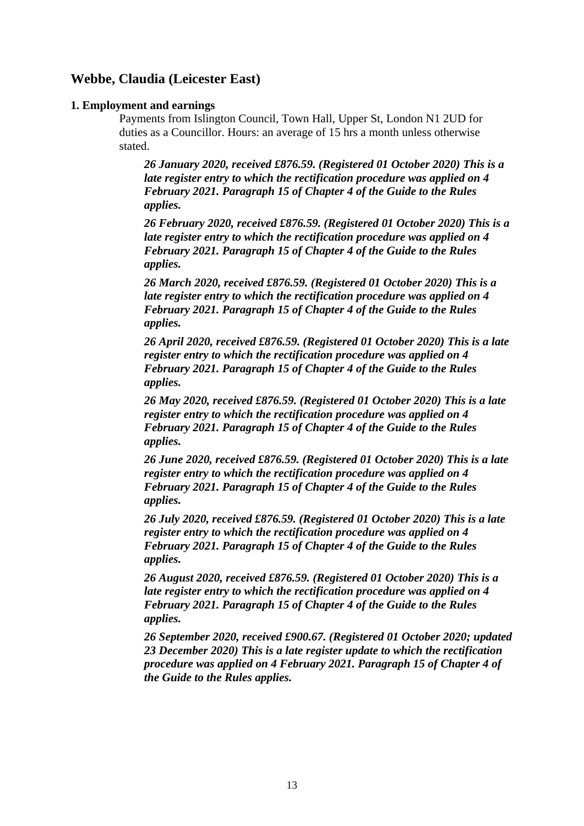# **Webbe, Claudia (Leicester East)**

## **1. Employment and earnings**

Payments from Islington Council, Town Hall, Upper St, London N1 2UD for duties as a Councillor. Hours: an average of 15 hrs a month unless otherwise stated.

*26 January 2020, received £876.59. (Registered 01 October 2020) This is a late register entry to which the rectification procedure was applied on 4 February 2021. Paragraph 15 of Chapter 4 of the Guide to the Rules applies.*

*26 February 2020, received £876.59. (Registered 01 October 2020) This is a late register entry to which the rectification procedure was applied on 4 February 2021. Paragraph 15 of Chapter 4 of the Guide to the Rules applies.*

*26 March 2020, received £876.59. (Registered 01 October 2020) This is a late register entry to which the rectification procedure was applied on 4 February 2021. Paragraph 15 of Chapter 4 of the Guide to the Rules applies.*

*26 April 2020, received £876.59. (Registered 01 October 2020) This is a late register entry to which the rectification procedure was applied on 4 February 2021. Paragraph 15 of Chapter 4 of the Guide to the Rules applies.*

*26 May 2020, received £876.59. (Registered 01 October 2020) This is a late register entry to which the rectification procedure was applied on 4 February 2021. Paragraph 15 of Chapter 4 of the Guide to the Rules applies.*

*26 June 2020, received £876.59. (Registered 01 October 2020) This is a late register entry to which the rectification procedure was applied on 4 February 2021. Paragraph 15 of Chapter 4 of the Guide to the Rules applies.*

*26 July 2020, received £876.59. (Registered 01 October 2020) This is a late register entry to which the rectification procedure was applied on 4 February 2021. Paragraph 15 of Chapter 4 of the Guide to the Rules applies.*

*26 August 2020, received £876.59. (Registered 01 October 2020) This is a late register entry to which the rectification procedure was applied on 4 February 2021. Paragraph 15 of Chapter 4 of the Guide to the Rules applies.*

*26 September 2020, received £900.67. (Registered 01 October 2020; updated 23 December 2020) This is a late register update to which the rectification procedure was applied on 4 February 2021. Paragraph 15 of Chapter 4 of the Guide to the Rules applies.*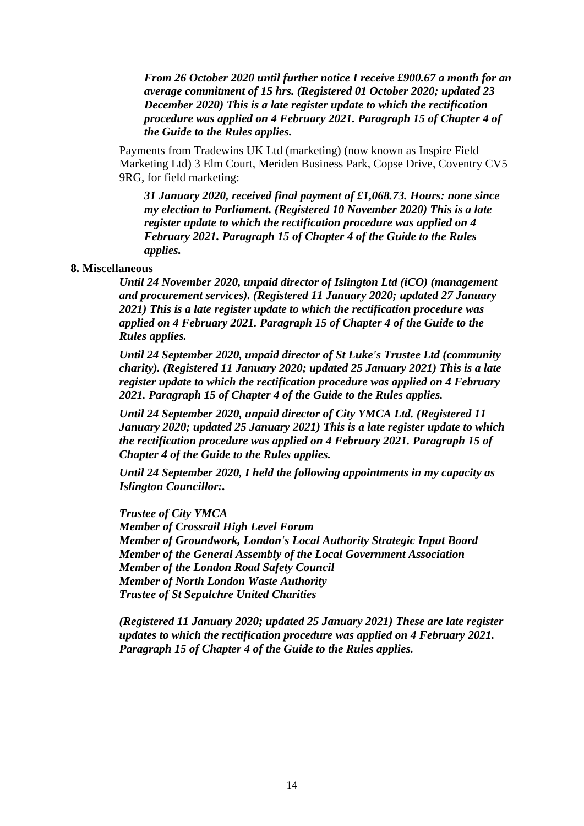*From 26 October 2020 until further notice I receive £900.67 a month for an average commitment of 15 hrs. (Registered 01 October 2020; updated 23 December 2020) This is a late register update to which the rectification procedure was applied on 4 February 2021. Paragraph 15 of Chapter 4 of the Guide to the Rules applies.*

Payments from Tradewins UK Ltd (marketing) (now known as Inspire Field Marketing Ltd) 3 Elm Court, Meriden Business Park, Copse Drive, Coventry CV5 9RG, for field marketing:

*31 January 2020, received final payment of £1,068.73. Hours: none since my election to Parliament. (Registered 10 November 2020) This is a late register update to which the rectification procedure was applied on 4 February 2021. Paragraph 15 of Chapter 4 of the Guide to the Rules applies.*

## **8. Miscellaneous**

*Until 24 November 2020, unpaid director of Islington Ltd (iCO) (management and procurement services). (Registered 11 January 2020; updated 27 January 2021) This is a late register update to which the rectification procedure was applied on 4 February 2021. Paragraph 15 of Chapter 4 of the Guide to the Rules applies.*

*Until 24 September 2020, unpaid director of St Luke's Trustee Ltd (community charity). (Registered 11 January 2020; updated 25 January 2021) This is a late register update to which the rectification procedure was applied on 4 February 2021. Paragraph 15 of Chapter 4 of the Guide to the Rules applies.*

*Until 24 September 2020, unpaid director of City YMCA Ltd. (Registered 11 January 2020; updated 25 January 2021) This is a late register update to which the rectification procedure was applied on 4 February 2021. Paragraph 15 of Chapter 4 of the Guide to the Rules applies.*

*Until 24 September 2020, I held the following appointments in my capacity as Islington Councillor:.*

*Trustee of City YMCA Member of Crossrail High Level Forum Member of Groundwork, London's Local Authority Strategic Input Board Member of the General Assembly of the Local Government Association Member of the London Road Safety Council Member of North London Waste Authority Trustee of St Sepulchre United Charities*

*(Registered 11 January 2020; updated 25 January 2021) These are late register updates to which the rectification procedure was applied on 4 February 2021. Paragraph 15 of Chapter 4 of the Guide to the Rules applies.*